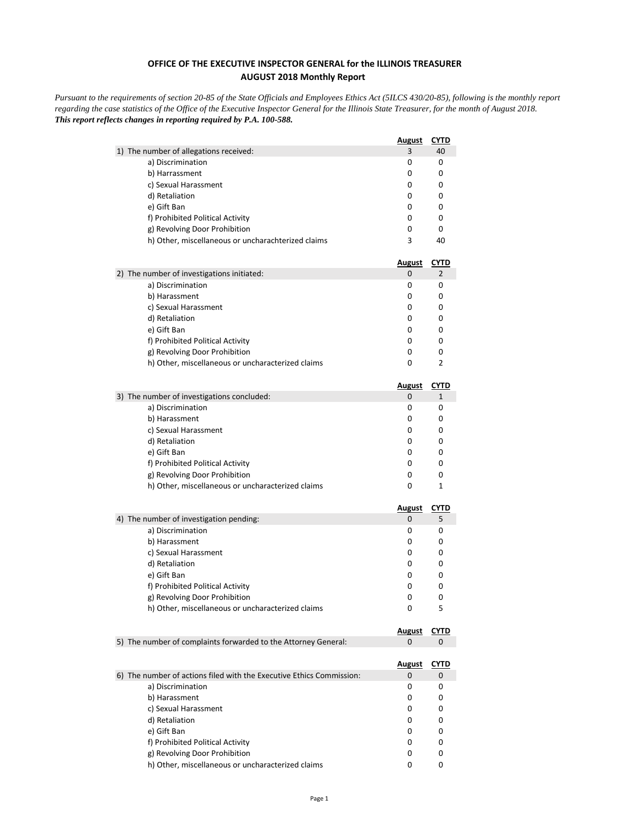## **OFFICE OF THE EXECUTIVE INSPECTOR GENERAL for the ILLINOIS TREASURER AUGUST 2018 Monthly Report**

*Pursuant to the requirements of section 20-85 of the State Officials and Employees Ethics Act (5ILCS 430/20-85), following is the monthly report regarding the case statistics of the Office of the Executive Inspector General for the Illinois State Treasurer, for the month of August 2018. This report reflects changes in reporting required by P.A. 100-588.*

| 1) The number of allegations received:<br>a) Discrimination<br>b) Harrassment | <b>August</b> | <b>CYTD</b> |
|-------------------------------------------------------------------------------|---------------|-------------|
|                                                                               | 3             | 40          |
|                                                                               | 0             | 0           |
|                                                                               | 0             | 0           |
| c) Sexual Harassment                                                          | 0             | 0           |
| d) Retaliation                                                                | 0             | 0           |
| e) Gift Ban                                                                   | 0             | 0           |
| f) Prohibited Political Activity                                              | 0             | 0           |
| g) Revolving Door Prohibition                                                 | 0             | 0           |
| h) Other, miscellaneous or uncharachterized claims                            | 3             | 40          |
|                                                                               | <u>August</u> | <u>CYTD</u> |
| 2) The number of investigations initiated:                                    | 0             | 2           |
| a) Discrimination                                                             | 0             | 0           |
| b) Harassment                                                                 | 0             | 0           |
| c) Sexual Harassment                                                          | 0             | 0           |
| d) Retaliation                                                                | 0             | 0           |
| e) Gift Ban                                                                   | 0             | 0           |
| f) Prohibited Political Activity                                              | 0             | 0           |
| g) Revolving Door Prohibition                                                 | 0             | 0           |
| h) Other, miscellaneous or uncharacterized claims                             | 0             | 2           |
|                                                                               | <b>August</b> | <b>CYTD</b> |
| 3) The number of investigations concluded:                                    | 0             | 1           |
| a) Discrimination                                                             | 0             | 0           |
| b) Harassment                                                                 | 0             | 0           |
| c) Sexual Harassment                                                          | 0             | 0           |
| d) Retaliation                                                                | 0             | 0           |
| e) Gift Ban                                                                   | 0             | 0           |
| f) Prohibited Political Activity                                              | 0             | 0           |
| g) Revolving Door Prohibition                                                 | 0             | 0           |
| h) Other, miscellaneous or uncharacterized claims                             | 0             | 1           |
|                                                                               | <u>August</u> | <b>CYTD</b> |
| 4) The number of investigation pending:                                       | 0             | 5           |
| a) Discrimination                                                             | 0             | 0           |
| b) Harassment                                                                 | 0             | 0           |
| c) Sexual Harassment                                                          | 0             | 0           |
| d) Retaliation                                                                | 0             | 0           |
| e) Gift Ban                                                                   | 0             | 0           |
| f) Prohibited Political Activity                                              | 0             | 0           |
| g) Revolving Door Prohibition                                                 | 0             | 0           |
| h) Other, miscellaneous or uncharacterized claims                             | 0             | 5           |
|                                                                               | <b>August</b> | CYTD        |
| 5) The number of complaints forwarded to the Attorney General:                | 0             | 0           |
|                                                                               | <u>August</u> | <u>CYTD</u> |
|                                                                               | 0             | 0           |
| 6) The number of actions filed with the Executive Ethics Commission:          |               |             |
| a) Discrimination                                                             | 0             | 0           |
| b) Harassment                                                                 | 0             | 0           |
| c) Sexual Harassment                                                          | 0             | 0           |
| d) Retaliation                                                                | 0             | 0           |
| e) Gift Ban                                                                   | 0             | 0           |
| f) Prohibited Political Activity                                              | 0             | 0           |
| g) Revolving Door Prohibition                                                 | 0             | 0           |